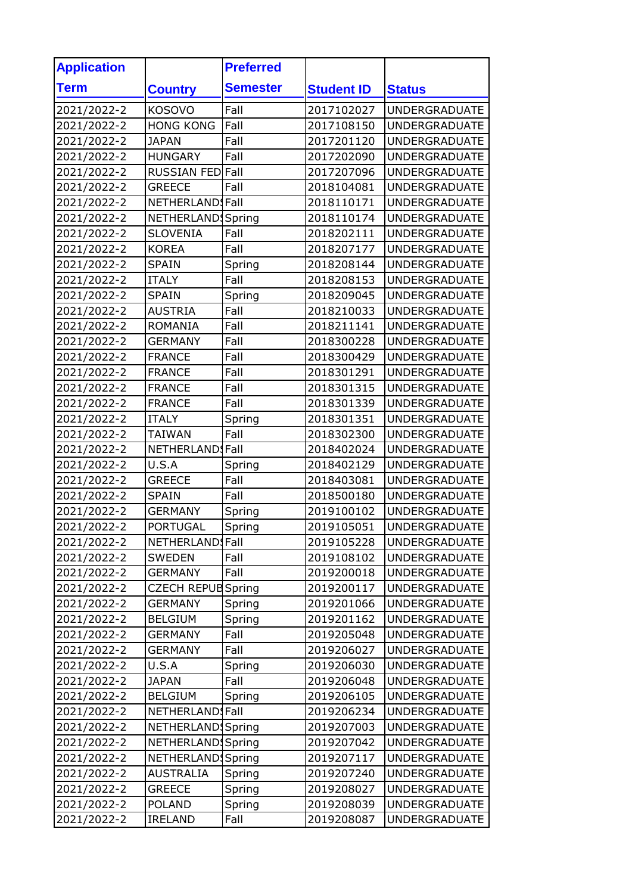| <b>Application</b> |                           | <b>Preferred</b> |                   |                      |
|--------------------|---------------------------|------------------|-------------------|----------------------|
| Term               | <b>Country</b>            | <b>Semester</b>  | <b>Student ID</b> | <b>Status</b>        |
| 2021/2022-2        | KOSOVO                    | Fall             | 2017102027        | <b>UNDERGRADUATE</b> |
| 2021/2022-2        | <b>HONG KONG</b>          | Fall             | 2017108150        | <b>UNDERGRADUATE</b> |
| 2021/2022-2        | <b>JAPAN</b>              | Fall             | 2017201120        | <b>UNDERGRADUATE</b> |
| 2021/2022-2        | <b>HUNGARY</b>            | Fall             | 2017202090        | <b>UNDERGRADUATE</b> |
| 2021/2022-2        | RUSSIAN FED Fall          |                  | 2017207096        | <b>UNDERGRADUATE</b> |
| 2021/2022-2        | <b>GREECE</b>             | Fall             | 2018104081        | <b>UNDERGRADUATE</b> |
| 2021/2022-2        | NETHERLANDSFall           |                  | 2018110171        | <b>UNDERGRADUATE</b> |
| 2021/2022-2        | NETHERLAND                | Spring           | 2018110174        | <b>UNDERGRADUATE</b> |
| 2021/2022-2        | <b>SLOVENIA</b>           | Fall             | 2018202111        | <b>UNDERGRADUATE</b> |
| 2021/2022-2        | <b>KOREA</b>              | Fall             | 2018207177        | <b>UNDERGRADUATE</b> |
| 2021/2022-2        | <b>SPAIN</b>              | Spring           | 2018208144        | <b>UNDERGRADUATE</b> |
| 2021/2022-2        | <b>ITALY</b>              | Fall             | 2018208153        | <b>UNDERGRADUATE</b> |
| 2021/2022-2        | <b>SPAIN</b>              | Spring           | 2018209045        | <b>UNDERGRADUATE</b> |
| 2021/2022-2        | <b>AUSTRIA</b>            | Fall             | 2018210033        | <b>UNDERGRADUATE</b> |
| 2021/2022-2        | <b>ROMANIA</b>            | Fall             | 2018211141        | <b>UNDERGRADUATE</b> |
| 2021/2022-2        | <b>GERMANY</b>            | Fall             | 2018300228        | <b>UNDERGRADUATE</b> |
| 2021/2022-2        | <b>FRANCE</b>             | Fall             | 2018300429        | <b>UNDERGRADUATE</b> |
| 2021/2022-2        | <b>FRANCE</b>             | Fall             | 2018301291        | <b>UNDERGRADUATE</b> |
| 2021/2022-2        | <b>FRANCE</b>             | Fall             | 2018301315        | <b>UNDERGRADUATE</b> |
| 2021/2022-2        | <b>FRANCE</b>             | Fall             | 2018301339        | <b>UNDERGRADUATE</b> |
| 2021/2022-2        | <b>ITALY</b>              | Spring           | 2018301351        | <b>UNDERGRADUATE</b> |
| 2021/2022-2        | <b>TAIWAN</b>             | Fall             | 2018302300        | <b>UNDERGRADUATE</b> |
| 2021/2022-2        | NETHERLANDSFall           |                  | 2018402024        | <b>UNDERGRADUATE</b> |
| 2021/2022-2        | U.S.A                     | Spring           | 2018402129        | <b>UNDERGRADUATE</b> |
| 2021/2022-2        | <b>GREECE</b>             | Fall             | 2018403081        | <b>UNDERGRADUATE</b> |
| 2021/2022-2        | <b>SPAIN</b>              | Fall             | 2018500180        | <b>UNDERGRADUATE</b> |
| 2021/2022-2        | <b>GERMANY</b>            | Spring           | 2019100102        | <b>UNDERGRADUATE</b> |
| 2021/2022-2        | <b>PORTUGAL</b>           | Spring           | 2019105051        | <b>UNDERGRADUATE</b> |
| 2021/2022-2        | NETHERLANDSFall           |                  | 2019105228        | <b>UNDERGRADUATE</b> |
| 2021/2022-2        | <b>SWEDEN</b>             | Fall             | 2019108102        | <b>UNDERGRADUATE</b> |
| 2021/2022-2        | <b>GERMANY</b>            | Fall             | 2019200018        | UNDERGRADUATE        |
| 2021/2022-2        | <b>CZECH REPUB Spring</b> |                  | 2019200117        | <b>UNDERGRADUATE</b> |
| 2021/2022-2        | GERMANY                   | Spring           | 2019201066        | UNDERGRADUATE        |
| 2021/2022-2        | <b>BELGIUM</b>            | Spring           | 2019201162        | <b>UNDERGRADUATE</b> |
| 2021/2022-2        | <b>GERMANY</b>            | Fall             | 2019205048        | <b>UNDERGRADUATE</b> |
| 2021/2022-2        | GERMANY                   | Fall             | 2019206027        | <b>UNDERGRADUATE</b> |
| 2021/2022-2        | U.S.A                     | Spring           | 2019206030        | <b>UNDERGRADUATE</b> |
| 2021/2022-2        | <b>JAPAN</b>              | Fall             | 2019206048        | UNDERGRADUATE        |
| 2021/2022-2        | <b>BELGIUM</b>            | Spring           | 2019206105        | <b>UNDERGRADUATE</b> |
| 2021/2022-2        | NETHERLANDSFall           |                  | 2019206234        | UNDERGRADUATE        |
| 2021/2022-2        | NETHERLAND Spring         |                  | 2019207003        | <b>UNDERGRADUATE</b> |
| 2021/2022-2        | NETHERLAND Spring         |                  | 2019207042        | <b>UNDERGRADUATE</b> |
| 2021/2022-2        | NETHERLAND Spring         |                  | 2019207117        | UNDERGRADUATE        |
| 2021/2022-2        | <b>AUSTRALIA</b>          | Spring           | 2019207240        | <b>UNDERGRADUATE</b> |
| 2021/2022-2        | <b>GREECE</b>             | Spring           | 2019208027        | <b>UNDERGRADUATE</b> |
| 2021/2022-2        | <b>POLAND</b>             | Spring           | 2019208039        | <b>UNDERGRADUATE</b> |
| 2021/2022-2        | <b>IRELAND</b>            | Fall             | 2019208087        | <b>UNDERGRADUATE</b> |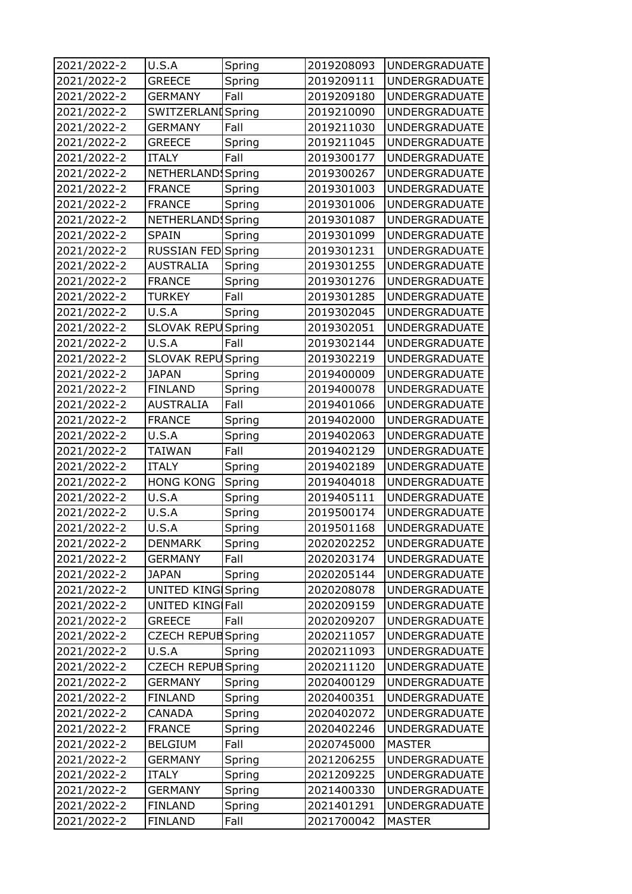| 2021/2022-2 | U.S.A                     | Spring | 2019208093 | <b>UNDERGRADUATE</b> |
|-------------|---------------------------|--------|------------|----------------------|
| 2021/2022-2 | <b>GREECE</b>             | Spring | 2019209111 | <b>UNDERGRADUATE</b> |
| 2021/2022-2 | <b>GERMANY</b>            | Fall   | 2019209180 | <b>UNDERGRADUATE</b> |
| 2021/2022-2 | <b>SWITZERLANI</b> Spring |        | 2019210090 | <b>UNDERGRADUATE</b> |
| 2021/2022-2 | <b>GERMANY</b>            | Fall   | 2019211030 | <b>UNDERGRADUATE</b> |
| 2021/2022-2 | <b>GREECE</b>             | Spring | 2019211045 | <b>UNDERGRADUATE</b> |
| 2021/2022-2 | <b>ITALY</b>              | Fall   | 2019300177 | <b>UNDERGRADUATE</b> |
| 2021/2022-2 | NETHERLAND!               | Spring | 2019300267 | <b>UNDERGRADUATE</b> |
| 2021/2022-2 | <b>FRANCE</b>             | Spring | 2019301003 | <b>UNDERGRADUATE</b> |
| 2021/2022-2 | <b>FRANCE</b>             | Spring | 2019301006 | <b>UNDERGRADUATE</b> |
| 2021/2022-2 | NETHERLAND                | Spring | 2019301087 | <b>UNDERGRADUATE</b> |
| 2021/2022-2 | SPAIN                     | Spring | 2019301099 | <b>UNDERGRADUATE</b> |
| 2021/2022-2 | RUSSIAN FED Spring        |        | 2019301231 | <b>UNDERGRADUATE</b> |
| 2021/2022-2 | <b>AUSTRALIA</b>          | Spring | 2019301255 | <b>UNDERGRADUATE</b> |
| 2021/2022-2 | <b>FRANCE</b>             | Spring | 2019301276 | <b>UNDERGRADUATE</b> |
| 2021/2022-2 | <b>TURKEY</b>             | Fall   | 2019301285 | <b>UNDERGRADUATE</b> |
| 2021/2022-2 | U.S.A                     | Spring | 2019302045 | <b>UNDERGRADUATE</b> |
| 2021/2022-2 | SLOVAK REPU               | Spring | 2019302051 | <b>UNDERGRADUATE</b> |
| 2021/2022-2 | U.S.A                     | Fall   | 2019302144 | <b>UNDERGRADUATE</b> |
| 2021/2022-2 | <b>SLOVAK REPU</b>        | Spring | 2019302219 | <b>UNDERGRADUATE</b> |
| 2021/2022-2 | <b>JAPAN</b>              | Spring | 2019400009 | <b>UNDERGRADUATE</b> |
| 2021/2022-2 | <b>FINLAND</b>            | Spring | 2019400078 | <b>UNDERGRADUATE</b> |
| 2021/2022-2 | <b>AUSTRALIA</b>          | Fall   | 2019401066 | <b>UNDERGRADUATE</b> |
| 2021/2022-2 | <b>FRANCE</b>             | Spring | 2019402000 | <b>UNDERGRADUATE</b> |
| 2021/2022-2 | U.S.A                     | Spring | 2019402063 | <b>UNDERGRADUATE</b> |
| 2021/2022-2 | TAIWAN                    | Fall   | 2019402129 | <b>UNDERGRADUATE</b> |
| 2021/2022-2 | <b>ITALY</b>              | Spring | 2019402189 | <b>UNDERGRADUATE</b> |
| 2021/2022-2 | <b>HONG KONG</b>          | Spring | 2019404018 | <b>UNDERGRADUATE</b> |
| 2021/2022-2 | U.S.A                     | Spring | 2019405111 | <b>UNDERGRADUATE</b> |
| 2021/2022-2 | U.S.A                     | Spring | 2019500174 | <b>UNDERGRADUATE</b> |
| 2021/2022-2 | U.S.A                     | Spring | 2019501168 | <b>UNDERGRADUATE</b> |
| 2021/2022-2 | <b>DENMARK</b>            | Spring | 2020202252 | <b>UNDERGRADUATE</b> |
| 2021/2022-2 | <b>GERMANY</b>            | Fall   | 2020203174 | <b>UNDERGRADUATE</b> |
| 2021/2022-2 | JAPAN                     | Spring | 2020205144 | <b>UNDERGRADUATE</b> |
| 2021/2022-2 | UNITED KING Spring        |        | 2020208078 | <b>UNDERGRADUATE</b> |
| 2021/2022-2 | UNITED KING Fall          |        | 2020209159 | <b>UNDERGRADUATE</b> |
| 2021/2022-2 | <b>GREECE</b>             | Fall   | 2020209207 | <b>UNDERGRADUATE</b> |
| 2021/2022-2 | <b>CZECH REPUB Spring</b> |        | 2020211057 | <b>UNDERGRADUATE</b> |
| 2021/2022-2 | U.S.A                     | Spring | 2020211093 | <b>UNDERGRADUATE</b> |
| 2021/2022-2 | <b>CZECH REPUB Spring</b> |        | 2020211120 | <b>UNDERGRADUATE</b> |
| 2021/2022-2 | <b>GERMANY</b>            | Spring | 2020400129 | <b>UNDERGRADUATE</b> |
| 2021/2022-2 | <b>FINLAND</b>            | Spring | 2020400351 | <b>UNDERGRADUATE</b> |
| 2021/2022-2 | CANADA                    | Spring | 2020402072 | <b>UNDERGRADUATE</b> |
| 2021/2022-2 | <b>FRANCE</b>             | Spring | 2020402246 | <b>UNDERGRADUATE</b> |
| 2021/2022-2 | <b>BELGIUM</b>            | Fall   | 2020745000 | <b>MASTER</b>        |
| 2021/2022-2 | GERMANY                   | Spring | 2021206255 | <b>UNDERGRADUATE</b> |
| 2021/2022-2 | <b>ITALY</b>              | Spring | 2021209225 | <b>UNDERGRADUATE</b> |
| 2021/2022-2 | GERMANY                   | Spring | 2021400330 | <b>UNDERGRADUATE</b> |
| 2021/2022-2 | FINLAND                   | Spring | 2021401291 | <b>UNDERGRADUATE</b> |
| 2021/2022-2 | <b>FINLAND</b>            | Fall   | 2021700042 | <b>MASTER</b>        |